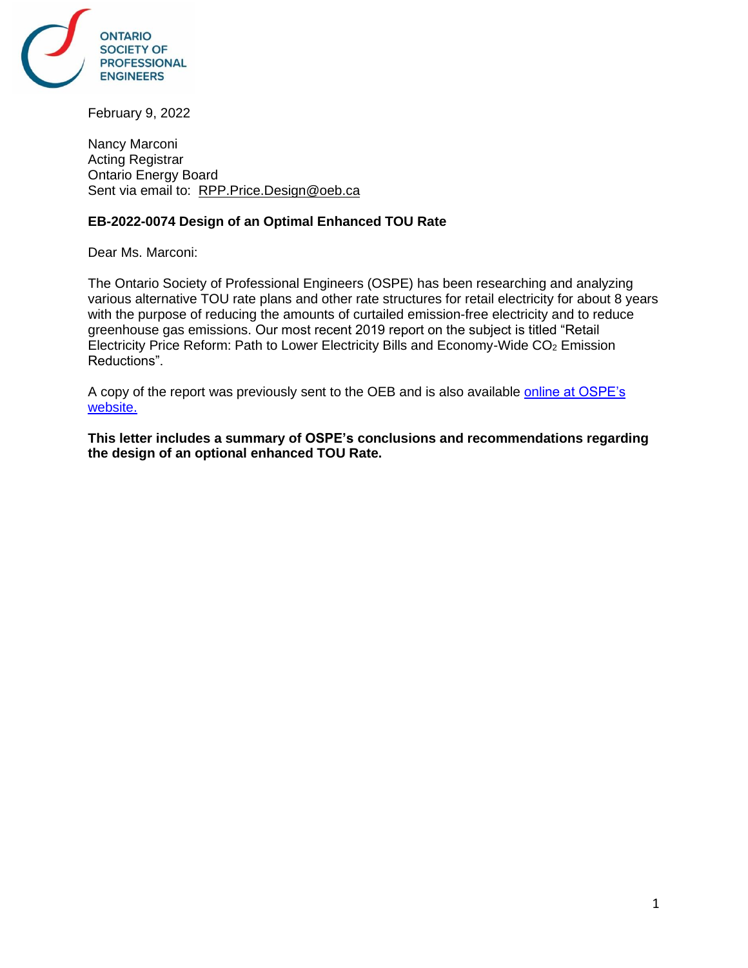

February 9, 2022

Nancy Marconi Acting Registrar Ontario Energy Board Sent via email to: [RPP.Price.Design@oeb.ca](mailto:RPP.Price.Design@oeb.ca)

## **EB-2022-0074 Design of an Optimal Enhanced TOU Rate**

Dear Ms. Marconi:

The Ontario Society of Professional Engineers (OSPE) has been researching and analyzing various alternative TOU rate plans and other rate structures for retail electricity for about 8 years with the purpose of reducing the amounts of curtailed emission-free electricity and to reduce greenhouse gas emissions. Our most recent 2019 report on the subject is titled "Retail Electricity Price Reform: Path to Lower Electricity Bills and Economy-Wide  $CO<sub>2</sub>$  Emission Reductions".

A copy of the report was previously sent to the OEB and is also available [online at OSPE's](https://ospe.on.ca/download/?osp_dl_file=d08a854b0245e0b7b24a7f5eea278f08&dl_title=Retail+Electricity+Price+Reform+-+Summary+Report)  [website.](https://ospe.on.ca/download/?osp_dl_file=d08a854b0245e0b7b24a7f5eea278f08&dl_title=Retail+Electricity+Price+Reform+-+Summary+Report)

**This letter includes a summary of OSPE's conclusions and recommendations regarding the design of an optional enhanced TOU Rate.**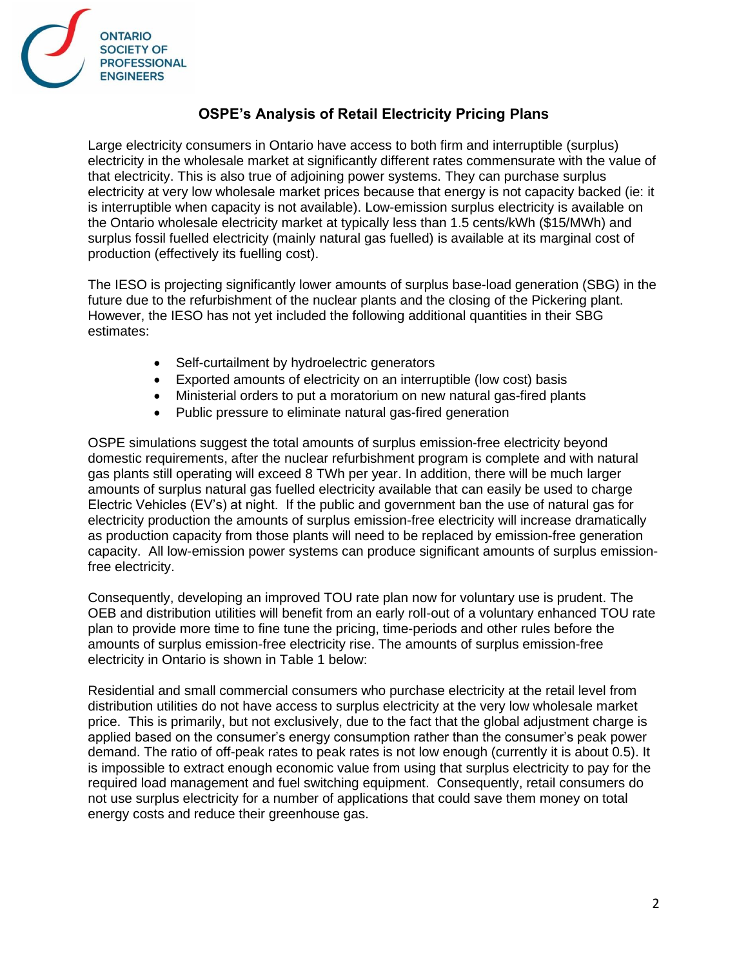

# **OSPE's Analysis of Retail Electricity Pricing Plans**

Large electricity consumers in Ontario have access to both firm and interruptible (surplus) electricity in the wholesale market at significantly different rates commensurate with the value of that electricity. This is also true of adjoining power systems. They can purchase surplus electricity at very low wholesale market prices because that energy is not capacity backed (ie: it is interruptible when capacity is not available). Low-emission surplus electricity is available on the Ontario wholesale electricity market at typically less than 1.5 cents/kWh (\$15/MWh) and surplus fossil fuelled electricity (mainly natural gas fuelled) is available at its marginal cost of production (effectively its fuelling cost).

The IESO is projecting significantly lower amounts of surplus base-load generation (SBG) in the future due to the refurbishment of the nuclear plants and the closing of the Pickering plant. However, the IESO has not yet included the following additional quantities in their SBG estimates:

- Self-curtailment by hydroelectric generators
- Exported amounts of electricity on an interruptible (low cost) basis
- Ministerial orders to put a moratorium on new natural gas-fired plants
- Public pressure to eliminate natural gas-fired generation

OSPE simulations suggest the total amounts of surplus emission-free electricity beyond domestic requirements, after the nuclear refurbishment program is complete and with natural gas plants still operating will exceed 8 TWh per year. In addition, there will be much larger amounts of surplus natural gas fuelled electricity available that can easily be used to charge Electric Vehicles (EV's) at night. If the public and government ban the use of natural gas for electricity production the amounts of surplus emission-free electricity will increase dramatically as production capacity from those plants will need to be replaced by emission-free generation capacity. All low-emission power systems can produce significant amounts of surplus emissionfree electricity.

Consequently, developing an improved TOU rate plan now for voluntary use is prudent. The OEB and distribution utilities will benefit from an early roll-out of a voluntary enhanced TOU rate plan to provide more time to fine tune the pricing, time-periods and other rules before the amounts of surplus emission-free electricity rise. The amounts of surplus emission-free electricity in Ontario is shown in Table 1 below:

Residential and small commercial consumers who purchase electricity at the retail level from distribution utilities do not have access to surplus electricity at the very low wholesale market price. This is primarily, but not exclusively, due to the fact that the global adjustment charge is applied based on the consumer's energy consumption rather than the consumer's peak power demand. The ratio of off-peak rates to peak rates is not low enough (currently it is about 0.5). It is impossible to extract enough economic value from using that surplus electricity to pay for the required load management and fuel switching equipment. Consequently, retail consumers do not use surplus electricity for a number of applications that could save them money on total energy costs and reduce their greenhouse gas.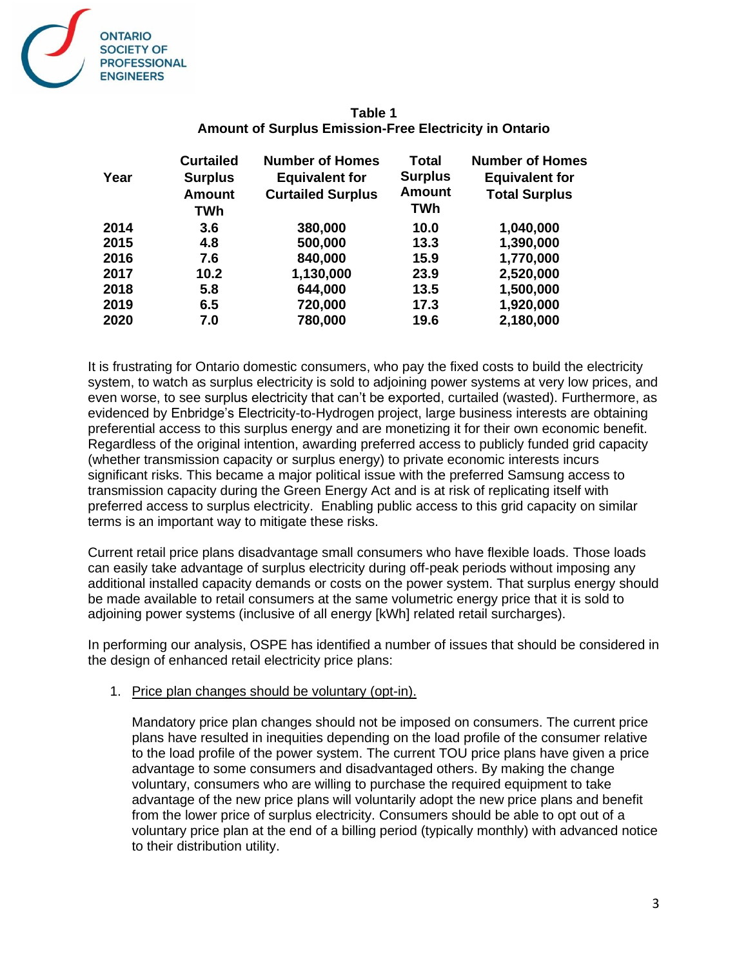

|      | <b>Curtailed</b> | <b>Number of Homes</b>   | <b>Total</b>   | <b>Number of Homes</b> |
|------|------------------|--------------------------|----------------|------------------------|
| Year | <b>Surplus</b>   | <b>Equivalent for</b>    | <b>Surplus</b> | <b>Equivalent for</b>  |
|      | <b>Amount</b>    | <b>Curtailed Surplus</b> | Amount         | <b>Total Surplus</b>   |
|      | TWh              |                          | TWh            |                        |
| 2014 | 3.6              | 380,000                  | 10.0           | 1,040,000              |
| 2015 | 4.8              | 500,000                  | 13.3           | 1,390,000              |
| 2016 | 7.6              | 840,000                  | 15.9           | 1,770,000              |
| 2017 | 10.2             | 1,130,000                | 23.9           | 2,520,000              |
| 2018 | 5.8              | 644,000                  | 13.5           | 1,500,000              |
| 2019 | 6.5              | 720,000                  | 17.3           | 1,920,000              |
| 2020 | 7.0              | 780,000                  | 19.6           | 2,180,000              |
|      |                  |                          |                |                        |

## **Table 1 Amount of Surplus Emission-Free Electricity in Ontario**

It is frustrating for Ontario domestic consumers, who pay the fixed costs to build the electricity system, to watch as surplus electricity is sold to adjoining power systems at very low prices, and even worse, to see surplus electricity that can't be exported, curtailed (wasted). Furthermore, as evidenced by Enbridge's Electricity-to-Hydrogen project, large business interests are obtaining preferential access to this surplus energy and are monetizing it for their own economic benefit. Regardless of the original intention, awarding preferred access to publicly funded grid capacity (whether transmission capacity or surplus energy) to private economic interests incurs significant risks. This became a major political issue with the preferred Samsung access to transmission capacity during the Green Energy Act and is at risk of replicating itself with preferred access to surplus electricity. Enabling public access to this grid capacity on similar terms is an important way to mitigate these risks.

Current retail price plans disadvantage small consumers who have flexible loads. Those loads can easily take advantage of surplus electricity during off-peak periods without imposing any additional installed capacity demands or costs on the power system. That surplus energy should be made available to retail consumers at the same volumetric energy price that it is sold to adjoining power systems (inclusive of all energy [kWh] related retail surcharges).

In performing our analysis, OSPE has identified a number of issues that should be considered in the design of enhanced retail electricity price plans:

#### 1. Price plan changes should be voluntary (opt-in).

Mandatory price plan changes should not be imposed on consumers. The current price plans have resulted in inequities depending on the load profile of the consumer relative to the load profile of the power system. The current TOU price plans have given a price advantage to some consumers and disadvantaged others. By making the change voluntary, consumers who are willing to purchase the required equipment to take advantage of the new price plans will voluntarily adopt the new price plans and benefit from the lower price of surplus electricity. Consumers should be able to opt out of a voluntary price plan at the end of a billing period (typically monthly) with advanced notice to their distribution utility.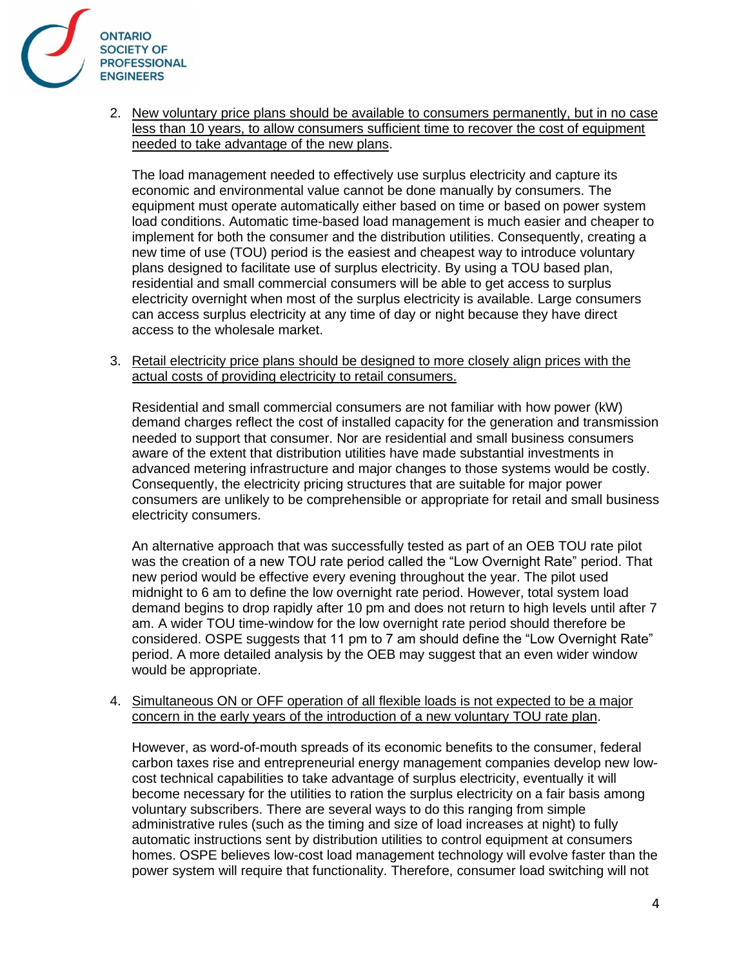

2. New voluntary price plans should be available to consumers permanently, but in no case less than 10 years, to allow consumers sufficient time to recover the cost of equipment needed to take advantage of the new plans.

The load management needed to effectively use surplus electricity and capture its economic and environmental value cannot be done manually by consumers. The equipment must operate automatically either based on time or based on power system load conditions. Automatic time-based load management is much easier and cheaper to implement for both the consumer and the distribution utilities. Consequently, creating a new time of use (TOU) period is the easiest and cheapest way to introduce voluntary plans designed to facilitate use of surplus electricity. By using a TOU based plan, residential and small commercial consumers will be able to get access to surplus electricity overnight when most of the surplus electricity is available. Large consumers can access surplus electricity at any time of day or night because they have direct access to the wholesale market.

3. Retail electricity price plans should be designed to more closely align prices with the actual costs of providing electricity to retail consumers.

Residential and small commercial consumers are not familiar with how power (kW) demand charges reflect the cost of installed capacity for the generation and transmission needed to support that consumer. Nor are residential and small business consumers aware of the extent that distribution utilities have made substantial investments in advanced metering infrastructure and major changes to those systems would be costly. Consequently, the electricity pricing structures that are suitable for major power consumers are unlikely to be comprehensible or appropriate for retail and small business electricity consumers.

An alternative approach that was successfully tested as part of an OEB TOU rate pilot was the creation of a new TOU rate period called the "Low Overnight Rate" period. That new period would be effective every evening throughout the year. The pilot used midnight to 6 am to define the low overnight rate period. However, total system load demand begins to drop rapidly after 10 pm and does not return to high levels until after 7 am. A wider TOU time-window for the low overnight rate period should therefore be considered. OSPE suggests that 11 pm to 7 am should define the "Low Overnight Rate" period. A more detailed analysis by the OEB may suggest that an even wider window would be appropriate.

#### 4. Simultaneous ON or OFF operation of all flexible loads is not expected to be a major concern in the early years of the introduction of a new voluntary TOU rate plan.

However, as word-of-mouth spreads of its economic benefits to the consumer, federal carbon taxes rise and entrepreneurial energy management companies develop new lowcost technical capabilities to take advantage of surplus electricity, eventually it will become necessary for the utilities to ration the surplus electricity on a fair basis among voluntary subscribers. There are several ways to do this ranging from simple administrative rules (such as the timing and size of load increases at night) to fully automatic instructions sent by distribution utilities to control equipment at consumers homes. OSPE believes low-cost load management technology will evolve faster than the power system will require that functionality. Therefore, consumer load switching will not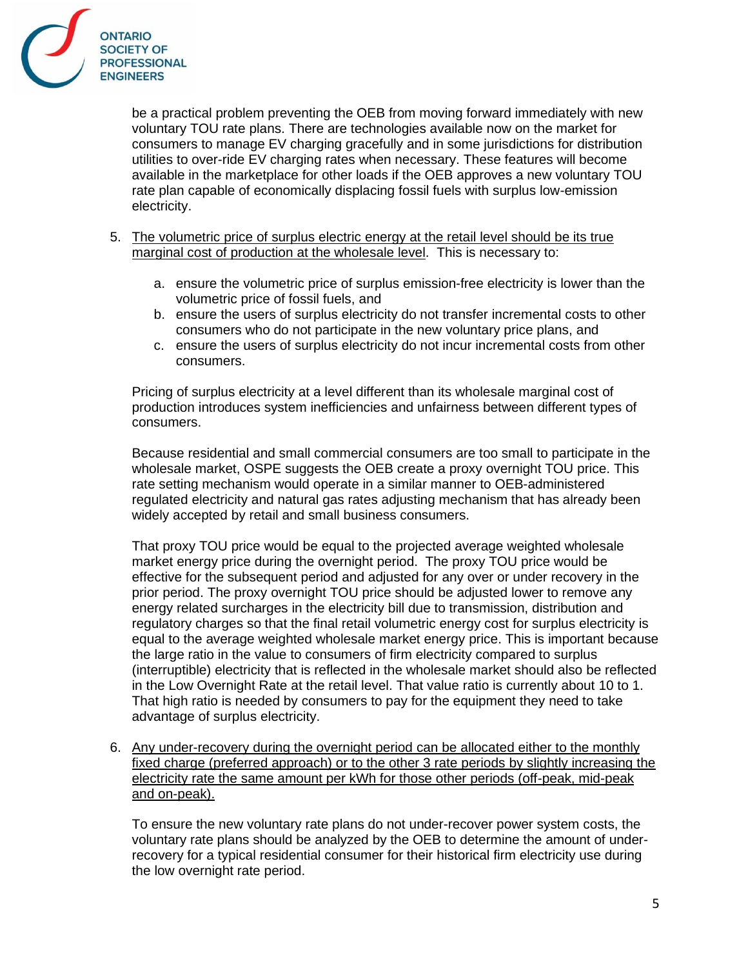

be a practical problem preventing the OEB from moving forward immediately with new voluntary TOU rate plans. There are technologies available now on the market for consumers to manage EV charging gracefully and in some jurisdictions for distribution utilities to over-ride EV charging rates when necessary. These features will become available in the marketplace for other loads if the OEB approves a new voluntary TOU rate plan capable of economically displacing fossil fuels with surplus low-emission electricity.

- 5. The volumetric price of surplus electric energy at the retail level should be its true marginal cost of production at the wholesale level. This is necessary to:
	- a. ensure the volumetric price of surplus emission-free electricity is lower than the volumetric price of fossil fuels, and
	- b. ensure the users of surplus electricity do not transfer incremental costs to other consumers who do not participate in the new voluntary price plans, and
	- c. ensure the users of surplus electricity do not incur incremental costs from other consumers.

Pricing of surplus electricity at a level different than its wholesale marginal cost of production introduces system inefficiencies and unfairness between different types of consumers.

Because residential and small commercial consumers are too small to participate in the wholesale market, OSPE suggests the OEB create a proxy overnight TOU price. This rate setting mechanism would operate in a similar manner to OEB-administered regulated electricity and natural gas rates adjusting mechanism that has already been widely accepted by retail and small business consumers.

That proxy TOU price would be equal to the projected average weighted wholesale market energy price during the overnight period. The proxy TOU price would be effective for the subsequent period and adjusted for any over or under recovery in the prior period. The proxy overnight TOU price should be adjusted lower to remove any energy related surcharges in the electricity bill due to transmission, distribution and regulatory charges so that the final retail volumetric energy cost for surplus electricity is equal to the average weighted wholesale market energy price. This is important because the large ratio in the value to consumers of firm electricity compared to surplus (interruptible) electricity that is reflected in the wholesale market should also be reflected in the Low Overnight Rate at the retail level. That value ratio is currently about 10 to 1. That high ratio is needed by consumers to pay for the equipment they need to take advantage of surplus electricity.

6. Any under-recovery during the overnight period can be allocated either to the monthly fixed charge (preferred approach) or to the other 3 rate periods by slightly increasing the electricity rate the same amount per kWh for those other periods (off-peak, mid-peak and on-peak).

To ensure the new voluntary rate plans do not under-recover power system costs, the voluntary rate plans should be analyzed by the OEB to determine the amount of underrecovery for a typical residential consumer for their historical firm electricity use during the low overnight rate period.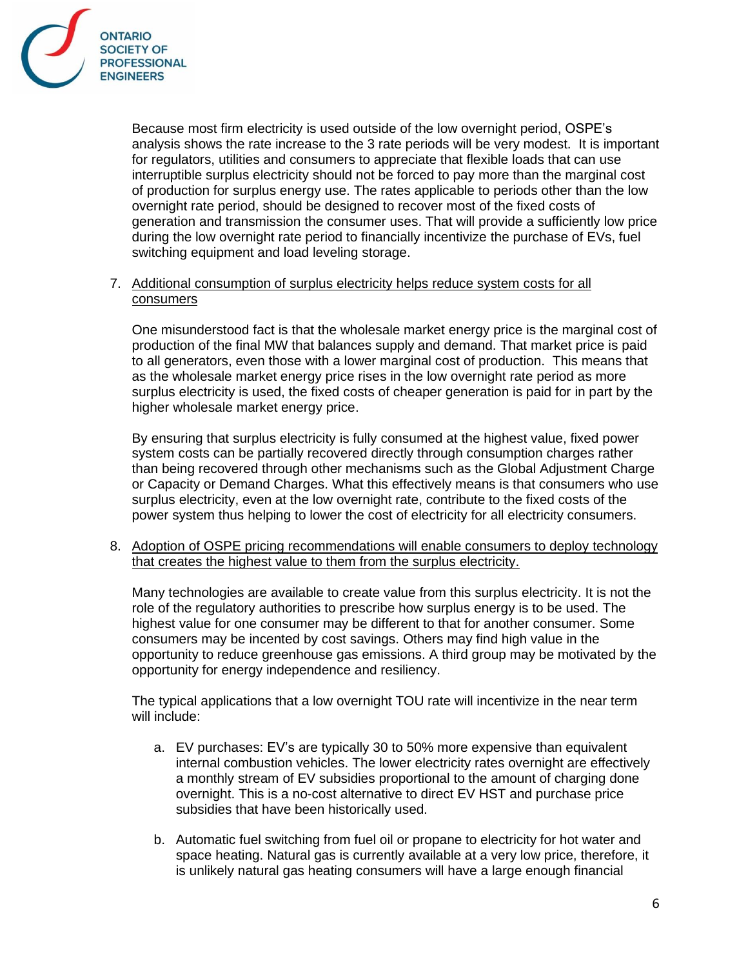

Because most firm electricity is used outside of the low overnight period, OSPE's analysis shows the rate increase to the 3 rate periods will be very modest. It is important for regulators, utilities and consumers to appreciate that flexible loads that can use interruptible surplus electricity should not be forced to pay more than the marginal cost of production for surplus energy use. The rates applicable to periods other than the low overnight rate period, should be designed to recover most of the fixed costs of generation and transmission the consumer uses. That will provide a sufficiently low price during the low overnight rate period to financially incentivize the purchase of EVs, fuel switching equipment and load leveling storage.

## 7. Additional consumption of surplus electricity helps reduce system costs for all consumers

One misunderstood fact is that the wholesale market energy price is the marginal cost of production of the final MW that balances supply and demand. That market price is paid to all generators, even those with a lower marginal cost of production. This means that as the wholesale market energy price rises in the low overnight rate period as more surplus electricity is used, the fixed costs of cheaper generation is paid for in part by the higher wholesale market energy price.

By ensuring that surplus electricity is fully consumed at the highest value, fixed power system costs can be partially recovered directly through consumption charges rather than being recovered through other mechanisms such as the Global Adjustment Charge or Capacity or Demand Charges. What this effectively means is that consumers who use surplus electricity, even at the low overnight rate, contribute to the fixed costs of the power system thus helping to lower the cost of electricity for all electricity consumers.

8. Adoption of OSPE pricing recommendations will enable consumers to deploy technology that creates the highest value to them from the surplus electricity.

Many technologies are available to create value from this surplus electricity. It is not the role of the regulatory authorities to prescribe how surplus energy is to be used. The highest value for one consumer may be different to that for another consumer. Some consumers may be incented by cost savings. Others may find high value in the opportunity to reduce greenhouse gas emissions. A third group may be motivated by the opportunity for energy independence and resiliency.

The typical applications that a low overnight TOU rate will incentivize in the near term will include:

- a. EV purchases: EV's are typically 30 to 50% more expensive than equivalent internal combustion vehicles. The lower electricity rates overnight are effectively a monthly stream of EV subsidies proportional to the amount of charging done overnight. This is a no-cost alternative to direct EV HST and purchase price subsidies that have been historically used.
- b. Automatic fuel switching from fuel oil or propane to electricity for hot water and space heating. Natural gas is currently available at a very low price, therefore, it is unlikely natural gas heating consumers will have a large enough financial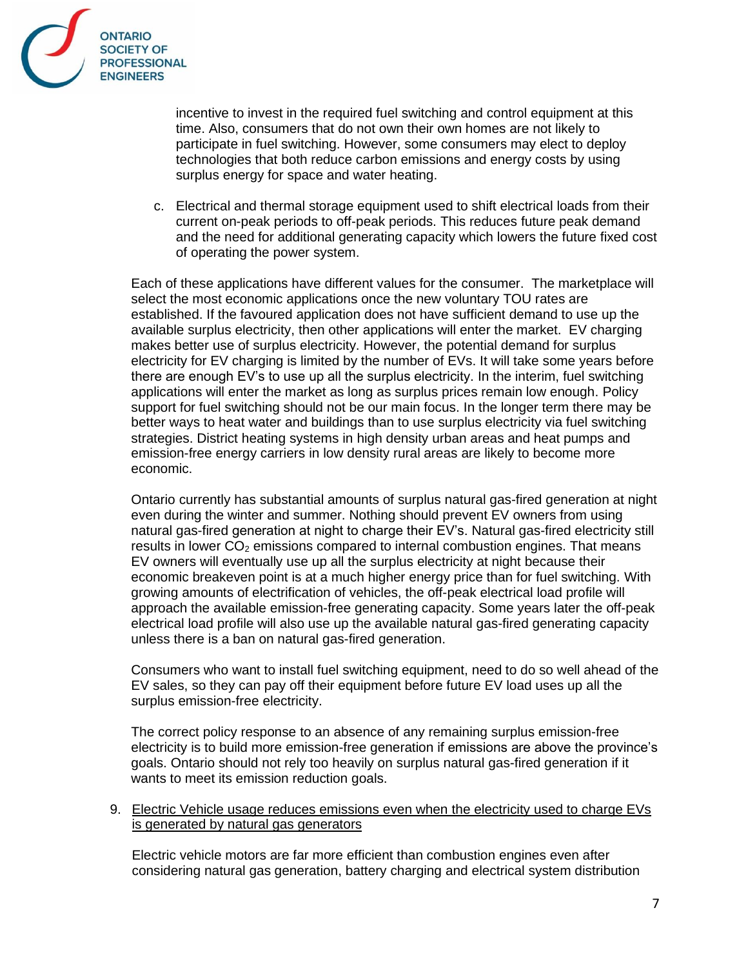

incentive to invest in the required fuel switching and control equipment at this time. Also, consumers that do not own their own homes are not likely to participate in fuel switching. However, some consumers may elect to deploy technologies that both reduce carbon emissions and energy costs by using surplus energy for space and water heating.

c. Electrical and thermal storage equipment used to shift electrical loads from their current on-peak periods to off-peak periods. This reduces future peak demand and the need for additional generating capacity which lowers the future fixed cost of operating the power system.

Each of these applications have different values for the consumer. The marketplace will select the most economic applications once the new voluntary TOU rates are established. If the favoured application does not have sufficient demand to use up the available surplus electricity, then other applications will enter the market. EV charging makes better use of surplus electricity. However, the potential demand for surplus electricity for EV charging is limited by the number of EVs. It will take some years before there are enough EV's to use up all the surplus electricity. In the interim, fuel switching applications will enter the market as long as surplus prices remain low enough. Policy support for fuel switching should not be our main focus. In the longer term there may be better ways to heat water and buildings than to use surplus electricity via fuel switching strategies. District heating systems in high density urban areas and heat pumps and emission-free energy carriers in low density rural areas are likely to become more economic.

Ontario currently has substantial amounts of surplus natural gas-fired generation at night even during the winter and summer. Nothing should prevent EV owners from using natural gas-fired generation at night to charge their EV's. Natural gas-fired electricity still results in lower  $CO<sub>2</sub>$  emissions compared to internal combustion engines. That means EV owners will eventually use up all the surplus electricity at night because their economic breakeven point is at a much higher energy price than for fuel switching. With growing amounts of electrification of vehicles, the off-peak electrical load profile will approach the available emission-free generating capacity. Some years later the off-peak electrical load profile will also use up the available natural gas-fired generating capacity unless there is a ban on natural gas-fired generation.

Consumers who want to install fuel switching equipment, need to do so well ahead of the EV sales, so they can pay off their equipment before future EV load uses up all the surplus emission-free electricity.

The correct policy response to an absence of any remaining surplus emission-free electricity is to build more emission-free generation if emissions are above the province's goals. Ontario should not rely too heavily on surplus natural gas-fired generation if it wants to meet its emission reduction goals.

### 9. Electric Vehicle usage reduces emissions even when the electricity used to charge EVs is generated by natural gas generators

Electric vehicle motors are far more efficient than combustion engines even after considering natural gas generation, battery charging and electrical system distribution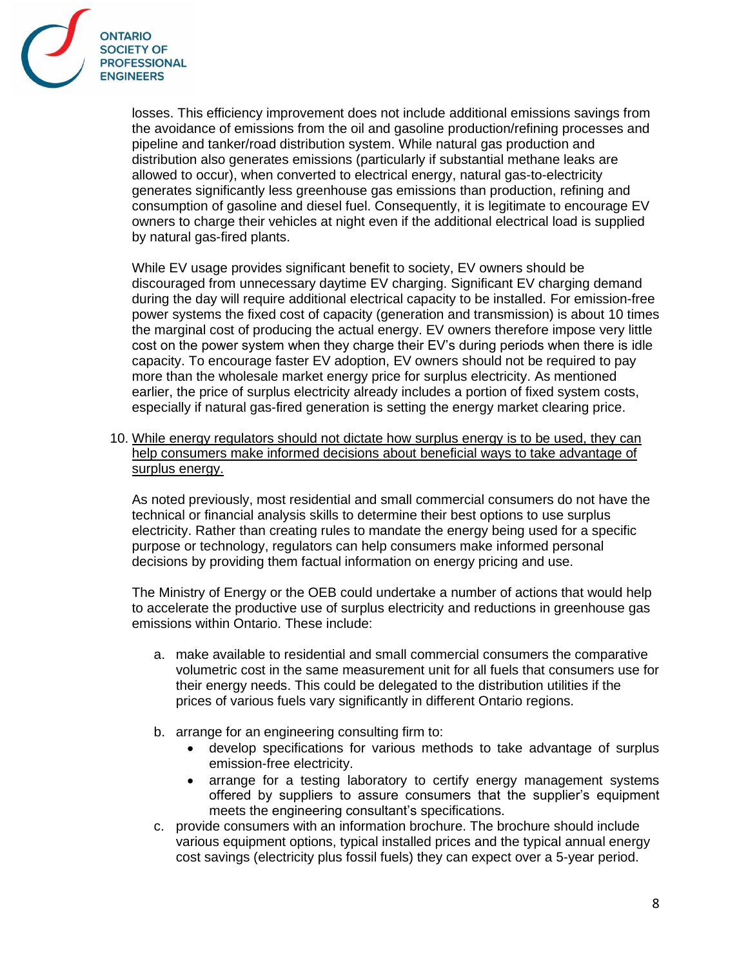

losses. This efficiency improvement does not include additional emissions savings from the avoidance of emissions from the oil and gasoline production/refining processes and pipeline and tanker/road distribution system. While natural gas production and distribution also generates emissions (particularly if substantial methane leaks are allowed to occur), when converted to electrical energy, natural gas-to-electricity generates significantly less greenhouse gas emissions than production, refining and consumption of gasoline and diesel fuel. Consequently, it is legitimate to encourage EV owners to charge their vehicles at night even if the additional electrical load is supplied by natural gas-fired plants.

While EV usage provides significant benefit to society, EV owners should be discouraged from unnecessary daytime EV charging. Significant EV charging demand during the day will require additional electrical capacity to be installed. For emission-free power systems the fixed cost of capacity (generation and transmission) is about 10 times the marginal cost of producing the actual energy. EV owners therefore impose very little cost on the power system when they charge their EV's during periods when there is idle capacity. To encourage faster EV adoption, EV owners should not be required to pay more than the wholesale market energy price for surplus electricity. As mentioned earlier, the price of surplus electricity already includes a portion of fixed system costs, especially if natural gas-fired generation is setting the energy market clearing price.

10. While energy regulators should not dictate how surplus energy is to be used, they can help consumers make informed decisions about beneficial ways to take advantage of surplus energy.

As noted previously, most residential and small commercial consumers do not have the technical or financial analysis skills to determine their best options to use surplus electricity. Rather than creating rules to mandate the energy being used for a specific purpose or technology, regulators can help consumers make informed personal decisions by providing them factual information on energy pricing and use.

The Ministry of Energy or the OEB could undertake a number of actions that would help to accelerate the productive use of surplus electricity and reductions in greenhouse gas emissions within Ontario. These include:

- a. make available to residential and small commercial consumers the comparative volumetric cost in the same measurement unit for all fuels that consumers use for their energy needs. This could be delegated to the distribution utilities if the prices of various fuels vary significantly in different Ontario regions.
- b. arrange for an engineering consulting firm to:
	- develop specifications for various methods to take advantage of surplus emission-free electricity.
	- arrange for a testing laboratory to certify energy management systems offered by suppliers to assure consumers that the supplier's equipment meets the engineering consultant's specifications.
- c. provide consumers with an information brochure. The brochure should include various equipment options, typical installed prices and the typical annual energy cost savings (electricity plus fossil fuels) they can expect over a 5-year period.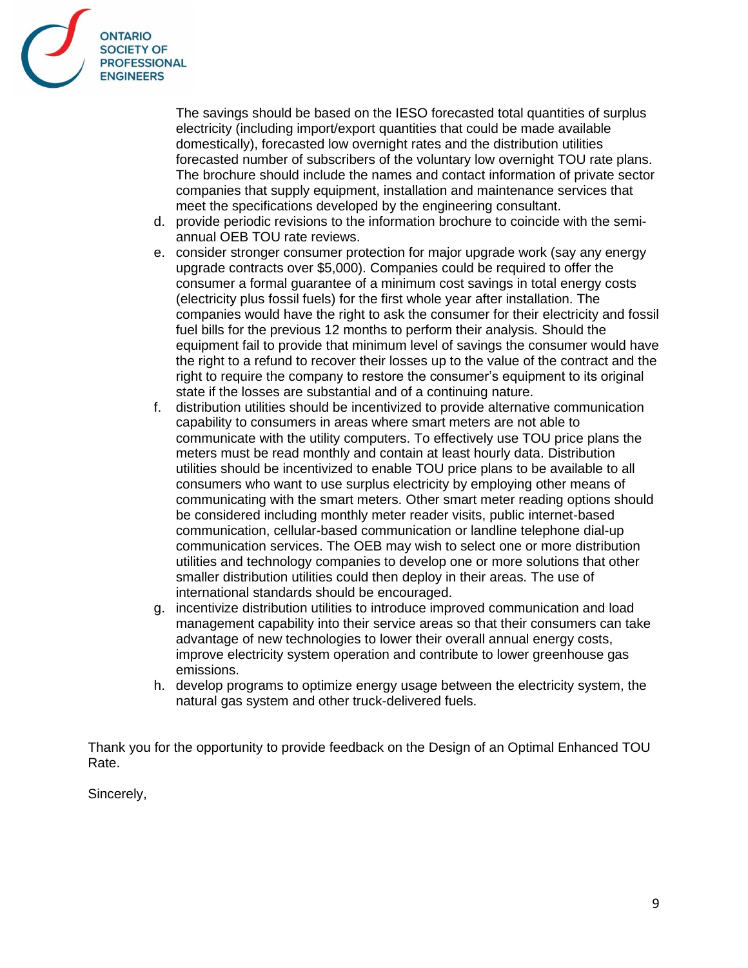

The savings should be based on the IESO forecasted total quantities of surplus electricity (including import/export quantities that could be made available domestically), forecasted low overnight rates and the distribution utilities forecasted number of subscribers of the voluntary low overnight TOU rate plans. The brochure should include the names and contact information of private sector companies that supply equipment, installation and maintenance services that meet the specifications developed by the engineering consultant.

- d. provide periodic revisions to the information brochure to coincide with the semiannual OEB TOU rate reviews.
- e. consider stronger consumer protection for major upgrade work (say any energy upgrade contracts over \$5,000). Companies could be required to offer the consumer a formal guarantee of a minimum cost savings in total energy costs (electricity plus fossil fuels) for the first whole year after installation. The companies would have the right to ask the consumer for their electricity and fossil fuel bills for the previous 12 months to perform their analysis. Should the equipment fail to provide that minimum level of savings the consumer would have the right to a refund to recover their losses up to the value of the contract and the right to require the company to restore the consumer's equipment to its original state if the losses are substantial and of a continuing nature.
- f. distribution utilities should be incentivized to provide alternative communication capability to consumers in areas where smart meters are not able to communicate with the utility computers. To effectively use TOU price plans the meters must be read monthly and contain at least hourly data. Distribution utilities should be incentivized to enable TOU price plans to be available to all consumers who want to use surplus electricity by employing other means of communicating with the smart meters. Other smart meter reading options should be considered including monthly meter reader visits, public internet-based communication, cellular-based communication or landline telephone dial-up communication services. The OEB may wish to select one or more distribution utilities and technology companies to develop one or more solutions that other smaller distribution utilities could then deploy in their areas. The use of international standards should be encouraged.
- g. incentivize distribution utilities to introduce improved communication and load management capability into their service areas so that their consumers can take advantage of new technologies to lower their overall annual energy costs, improve electricity system operation and contribute to lower greenhouse gas emissions.
- h. develop programs to optimize energy usage between the electricity system, the natural gas system and other truck-delivered fuels.

Thank you for the opportunity to provide feedback on the Design of an Optimal Enhanced TOU Rate.

Sincerely,